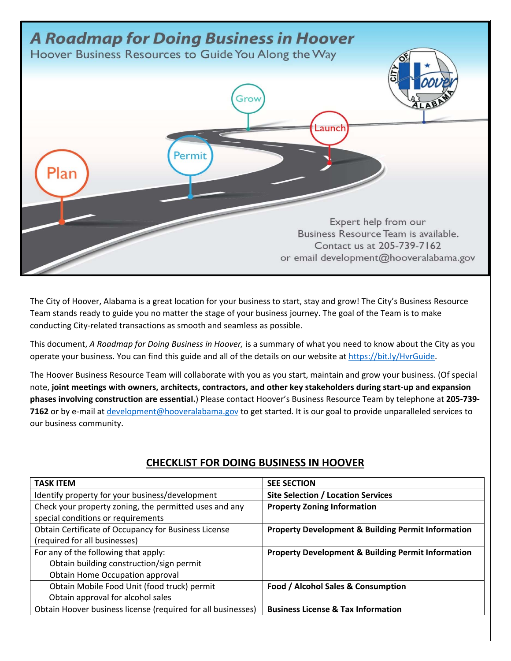

The City of Hoover, Alabama is a great location for your business to start, stay and grow! The City's Business Resource Team stands ready to guide you no matter the stage of your business journey. The goal of the Team is to make conducting City‐related transactions as smooth and seamless as possible.

This document, *A Roadmap for Doing Business in Hoover,* is a summary of what you need to know about the City as you operate your business. You can find this guide and all of the details on our website at https://bit.ly/HvrGuide.

The Hoover Business Resource Team will collaborate with you as you start, maintain and grow your business. (Of special note, **joint meetings with owners, architects, contractors, and other key stakeholders during start‐up and expansion phases involving construction are essential.**) Please contact Hoover's Business Resource Team by telephone at **205‐739‐** 7162 or by e-mail at development@hooveralabama.gov to get started. It is our goal to provide unparalleled services to our business community.

| <b>TASK ITEM</b>                                             | <b>SEE SECTION</b>                                            |
|--------------------------------------------------------------|---------------------------------------------------------------|
| Identify property for your business/development              | <b>Site Selection / Location Services</b>                     |
| Check your property zoning, the permitted uses and any       | <b>Property Zoning Information</b>                            |
| special conditions or requirements                           |                                                               |
| Obtain Certificate of Occupancy for Business License         | <b>Property Development &amp; Building Permit Information</b> |
| (required for all businesses)                                |                                                               |
| For any of the following that apply:                         | <b>Property Development &amp; Building Permit Information</b> |
| Obtain building construction/sign permit                     |                                                               |
| Obtain Home Occupation approval                              |                                                               |
| Obtain Mobile Food Unit (food truck) permit                  | Food / Alcohol Sales & Consumption                            |
| Obtain approval for alcohol sales                            |                                                               |
| Obtain Hoover business license (required for all businesses) | <b>Business License &amp; Tax Information</b>                 |

## **CHECKLIST FOR DOING BUSINESS IN HOOVER**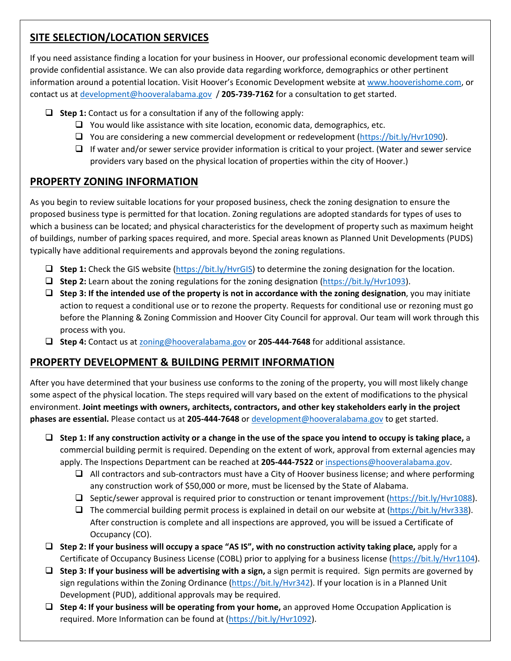# **SITE SELECTION/LOCATION SERVICES**

If you need assistance finding a location for your business in Hoover, our professional economic development team will provide confidential assistance. We can also provide data regarding workforce, demographics or other pertinent information around a potential location. Visit Hoover's Economic Development website at www.hooverishome.com, or contact us at development@hooveralabama.gov / **205‐739‐7162** for a consultation to get started.

- **Step 1:** Contact us for a consultation if any of the following apply:
	- $\Box$  You would like assistance with site location, economic data, demographics, etc.
	- $\Box$  You are considering a new commercial development or redevelopment (https://bit.ly/Hvr1090).
	- $\Box$  If water and/or sewer service provider information is critical to your project. (Water and sewer service providers vary based on the physical location of properties within the city of Hoover.)

## **PROPERTY ZONING INFORMATION**

As you begin to review suitable locations for your proposed business, check the zoning designation to ensure the proposed business type is permitted for that location. Zoning regulations are adopted standards for types of uses to which a business can be located; and physical characteristics for the development of property such as maximum height of buildings, number of parking spaces required, and more. Special areas known as Planned Unit Developments (PUDS) typically have additional requirements and approvals beyond the zoning regulations.

- **Step 1:** Check the GIS website (https://bit.ly/HvrGIS) to determine the zoning designation for the location.
- **Step 2:** Learn about the zoning regulations for the zoning designation (https://bit.ly/Hvr1093).
- **Step 3: If the intended use of the property is not in accordance with the zoning designation**, you may initiate action to request a conditional use or to rezone the property. Requests for conditional use or rezoning must go before the Planning & Zoning Commission and Hoover City Council for approval. Our team will work through this process with you.
- **Step 4:** Contact us at zoning@hooveralabama.gov or **205‐444‐7648** for additional assistance.

#### **PROPERTY DEVELOPMENT & BUILDING PERMIT INFORMATION**

After you have determined that your business use conforms to the zoning of the property, you will most likely change some aspect of the physical location. The steps required will vary based on the extent of modifications to the physical environment. **Joint meetings with owners, architects, contractors, and other key stakeholders early in the project phases are essential.** Please contact us at **205‐444‐7648** or development@hooveralabama.gov to get started.

- **Step 1: If any construction activity or a change in the use of the space you intend to occupy is taking place,** a commercial building permit is required. Depending on the extent of work, approval from external agencies may apply. The Inspections Department can be reached at **205‐444‐7522** or inspections@hooveralabama.gov.
	- $\Box$  All contractors and sub-contractors must have a City of Hoover business license; and where performing any construction work of \$50,000 or more, must be licensed by the State of Alabama.
	- $\square$  Septic/sewer approval is required prior to construction or tenant improvement (https://bit.ly/Hvr1088).
	- $\Box$  The commercial building permit process is explained in detail on our website at (https://bit.ly/Hvr338). After construction is complete and all inspections are approved, you will be issued a Certificate of Occupancy (CO).
- **Step 2: If your business will occupy a space "AS IS", with no construction activity taking place,** apply for a Certificate of Occupancy Business License (COBL) prior to applying for a business license (https://bit.ly/Hvr1104).
- **Step 3: If your business will be advertising with a sign,** a sign permit is required. Sign permits are governed by sign regulations within the Zoning Ordinance (https://bit.ly/Hvr342). If your location is in a Planned Unit Development (PUD), additional approvals may be required.
- **Step 4: If your business will be operating from your home,** an approved Home Occupation Application is required. More Information can be found at (https://bit.ly/Hvr1092).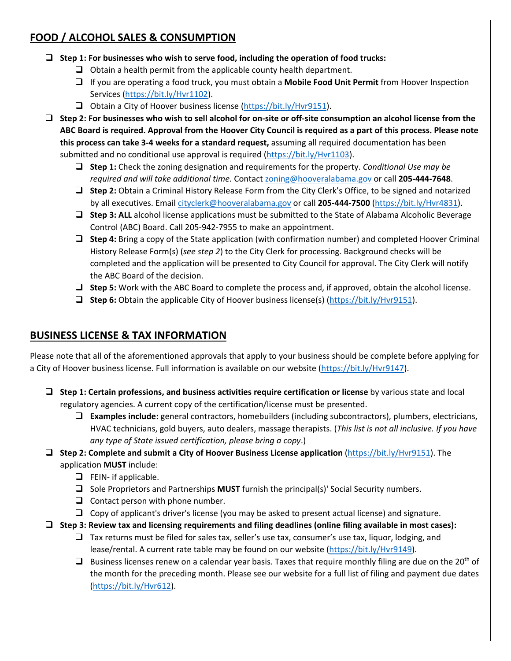## **FOOD / ALCOHOL SALES & CONSUMPTION**

- **Step 1: For businesses who wish to serve food, including the operation of food trucks:** 
	- $\Box$  Obtain a health permit from the applicable county health department.
	- If you are operating a food truck, you must obtain a **Mobile Food Unit Permit** from Hoover Inspection Services (https://bit.ly/Hvr1102).
	- $\Box$  Obtain a City of Hoover business license (https://bit.ly/Hvr9151).
- **Step 2: For businesses who wish to sell alcohol for on‐site or off‐site consumption an alcohol license from the ABC Board is required. Approval from the Hoover City Council is required as a part of this process. Please note this process can take 3‐4 weeks for a standard request,** assuming all required documentation has been submitted and no conditional use approval is required (https://bit.ly/Hvr1103).
	- **Step 1:** Check the zoning designation and requirements for the property. *Conditional Use may be required and will take additional time.* Contact zoning@hooveralabama.gov or call **205‐444‐7648**.
	- **Step 2:** Obtain a Criminal History Release Form from the City Clerk's Office, to be signed and notarized by all executives. Email cityclerk@hooveralabama.gov or call **205‐444‐7500** (https://bit.ly/Hvr4831).
	- □ Step 3: ALL alcohol license applications must be submitted to the State of Alabama Alcoholic Beverage Control (ABC) Board. Call 205‐942‐7955 to make an appointment.
	- **Step 4:** Bring a copy of the State application (with confirmation number) and completed Hoover Criminal History Release Form(s) (*see step 2*) to the City Clerk for processing. Background checks will be completed and the application will be presented to City Council for approval. The City Clerk will notify the ABC Board of the decision.
	- **Step 5:** Work with the ABC Board to complete the process and, if approved, obtain the alcohol license.
	- **Step 6:** Obtain the applicable City of Hoover business license(s) (https://bit.ly/Hvr9151).

## **BUSINESS LICENSE & TAX INFORMATION**

Please note that all of the aforementioned approvals that apply to your business should be complete before applying for a City of Hoover business license. Full information is available on our website (https://bit.ly/Hvr9147).

- **Step 1: Certain professions, and business activities require certification or license** by various state and local regulatory agencies. A current copy of the certification/license must be presented.
	- **Examples include:** general contractors, homebuilders (including subcontractors), plumbers, electricians, HVAC technicians, gold buyers, auto dealers, massage therapists. (*This list is not all inclusive. If you have any type of State issued certification, please bring a copy*.)
- **Step 2: Complete and submit a City of Hoover Business License application** (https://bit.ly/Hvr9151). The application **MUST** include:
	- $\Box$  FEIN- if applicable.
	- Sole Proprietors and Partnerships **MUST** furnish the principal(s)' Social Security numbers.
	- $\Box$  Contact person with phone number.
	- $\Box$  Copy of applicant's driver's license (you may be asked to present actual license) and signature.
- **Step 3: Review tax and licensing requirements and filing deadlines (online filing available in most cases):** 
	- $\Box$  Tax returns must be filed for sales tax, seller's use tax, consumer's use tax, liquor, lodging, and lease/rental. A current rate table may be found on our website (https://bit.ly/Hvr9149).
	- $\Box$  Business licenses renew on a calendar year basis. Taxes that require monthly filing are due on the 20<sup>th</sup> of the month for the preceding month. Please see our website for a full list of filing and payment due dates (https://bit.ly/Hvr612).